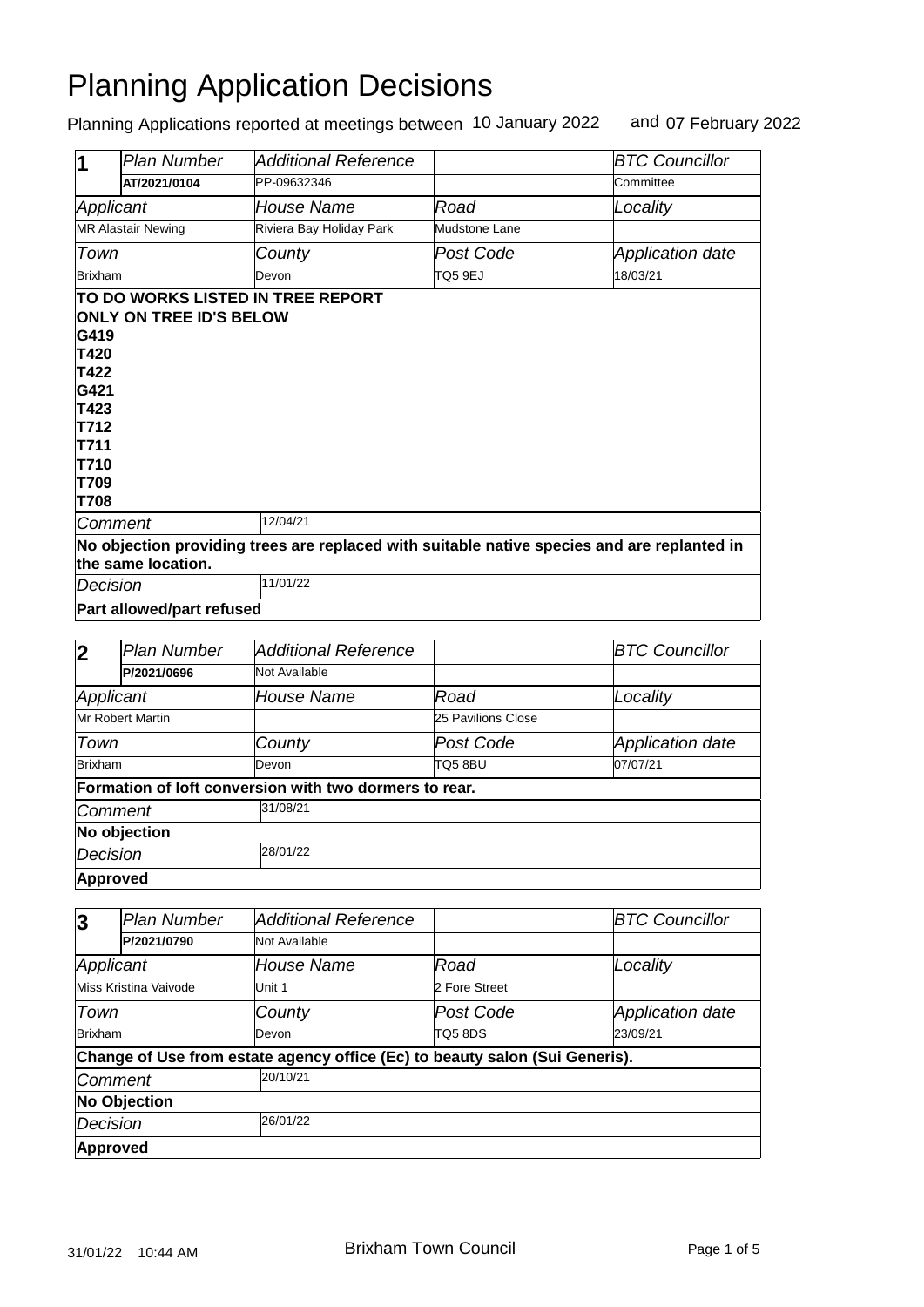| И                                                                                   | Plan Number                                                                                                       | <b>Additional Reference</b> |                | <b>BTC Councillor</b>   |  |
|-------------------------------------------------------------------------------------|-------------------------------------------------------------------------------------------------------------------|-----------------------------|----------------|-------------------------|--|
|                                                                                     | AT/2021/0104                                                                                                      | PP-09632346                 |                | Committee               |  |
| Applicant                                                                           |                                                                                                                   | <b>House Name</b>           | Road           | Locality                |  |
|                                                                                     | <b>MR Alastair Newing</b>                                                                                         | Riviera Bay Holiday Park    | Mudstone Lane  |                         |  |
| Town                                                                                |                                                                                                                   | County                      | Post Code      | <b>Application date</b> |  |
| <b>Brixham</b>                                                                      |                                                                                                                   | Devon                       | <b>TQ5 9EJ</b> | 18/03/21                |  |
| G419<br>T420<br>T422<br>G421<br>T423<br>T712<br>T711<br>T710<br>T709<br><b>T708</b> | <b>ONLY ON TREE ID'S BELOW</b>                                                                                    |                             |                |                         |  |
| Comment                                                                             |                                                                                                                   | 12/04/21                    |                |                         |  |
|                                                                                     | No objection providing trees are replaced with suitable native species and are replanted in<br>the same location. |                             |                |                         |  |
| Decision                                                                            |                                                                                                                   | 11/01/22                    |                |                         |  |
|                                                                                     | Part allowed/part refused                                                                                         |                             |                |                         |  |

| $\mathbf 2$             | <b>Plan Number</b> | Additional Reference                                   |                    | <b>BTC Councillor</b>   |  |
|-------------------------|--------------------|--------------------------------------------------------|--------------------|-------------------------|--|
|                         | P/2021/0696        | Not Available                                          |                    |                         |  |
| Applicant               |                    | House Name                                             | Road               | Locality                |  |
| <b>Mr Robert Martin</b> |                    |                                                        | 25 Pavilions Close |                         |  |
| Town                    |                    | County                                                 | Post Code          | <b>Application date</b> |  |
| Brixham                 |                    | Devon                                                  | TQ5 8BU            | 07/07/21                |  |
|                         |                    | Formation of loft conversion with two dormers to rear. |                    |                         |  |
| <b>Comment</b>          |                    | 31/08/21                                               |                    |                         |  |
| No objection            |                    |                                                        |                    |                         |  |
| 28/01/22<br>Decision    |                    |                                                        |                    |                         |  |
|                         | <b>Approved</b>    |                                                        |                    |                         |  |

| $\overline{3}$       | <b>Plan Number</b>    | Additional Reference                                                        |               | <b>BTC Councillor</b>   |  |
|----------------------|-----------------------|-----------------------------------------------------------------------------|---------------|-------------------------|--|
|                      | P/2021/0790           | <b>Not Available</b>                                                        |               |                         |  |
| Applicant            |                       | House Name                                                                  | Road          | Locality                |  |
|                      | Miss Kristina Vaivode | Unit 1                                                                      | 2 Fore Street |                         |  |
| Town                 |                       | County                                                                      | Post Code     | <b>Application date</b> |  |
| Brixham              |                       | Devon                                                                       | TQ58DS        | 23/09/21                |  |
|                      |                       | Change of Use from estate agency office (Ec) to beauty salon (Sui Generis). |               |                         |  |
| <b>Comment</b>       |                       | 20/10/21                                                                    |               |                         |  |
| <b>No Objection</b>  |                       |                                                                             |               |                         |  |
| 26/01/22<br>Decision |                       |                                                                             |               |                         |  |
| Approved             |                       |                                                                             |               |                         |  |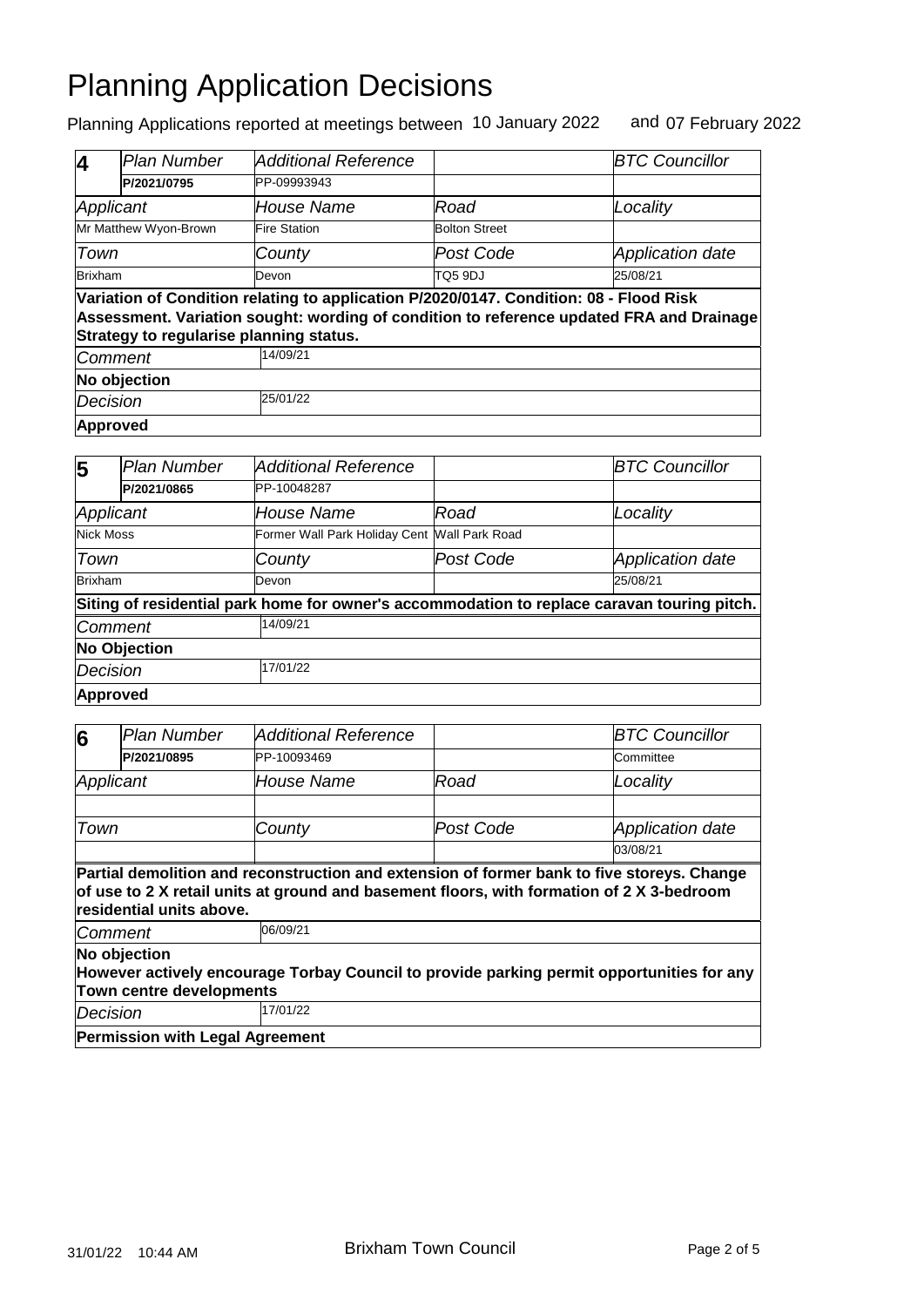| 4              | Plan Number                             | Additional Reference                                                                   |                      | <b>BTC Councillor</b>                                                                    |
|----------------|-----------------------------------------|----------------------------------------------------------------------------------------|----------------------|------------------------------------------------------------------------------------------|
|                | P/2021/0795                             | PP-09993943                                                                            |                      |                                                                                          |
| Applicant      |                                         | House Name                                                                             | Road                 | Locality                                                                                 |
|                | Mr Matthew Wyon-Brown                   | <b>Fire Station</b>                                                                    | <b>Bolton Street</b> |                                                                                          |
| Town           |                                         | County                                                                                 | Post Code            | <b>Application date</b>                                                                  |
| <b>Brixham</b> |                                         | Devon                                                                                  | TO5 9DJ              | 25/08/21                                                                                 |
|                | Strategy to regularise planning status. | Variation of Condition relating to application P/2020/0147. Condition: 08 - Flood Risk |                      | Assessment. Variation sought: wording of condition to reference updated FRA and Drainage |
| Comment        |                                         | 14/09/21                                                                               |                      |                                                                                          |
| No objection   |                                         |                                                                                        |                      |                                                                                          |
| Decision       |                                         | 25/01/22                                                                               |                      |                                                                                          |
|                | Approved                                |                                                                                        |                      |                                                                                          |

| 5                   | <b>Plan Number</b> | <b>Additional Reference</b>                                                                 |           | <b>BTC Councillor</b>   |  |
|---------------------|--------------------|---------------------------------------------------------------------------------------------|-----------|-------------------------|--|
|                     | P/2021/0865        | PP-10048287                                                                                 |           |                         |  |
| Applicant           |                    | <b>House Name</b>                                                                           | Road      | Locality                |  |
| Nick Moss           |                    | Former Wall Park Holiday Cent Wall Park Road                                                |           |                         |  |
| Town                |                    | County                                                                                      | Post Code | <b>Application date</b> |  |
| Brixham             |                    | <b>Devon</b>                                                                                |           | 25/08/21                |  |
|                     |                    | Siting of residential park home for owner's accommodation to replace caravan touring pitch. |           |                         |  |
| Comment             |                    | 14/09/21                                                                                    |           |                         |  |
| <b>No Objection</b> |                    |                                                                                             |           |                         |  |
| Decision            |                    | 17/01/22                                                                                    |           |                         |  |
|                     | Approved           |                                                                                             |           |                         |  |

| 6         | <b>Plan Number</b>                                                                                                           | Additional Reference                                                                                  |           | <b>BTC Councillor</b>   |  |  |
|-----------|------------------------------------------------------------------------------------------------------------------------------|-------------------------------------------------------------------------------------------------------|-----------|-------------------------|--|--|
|           | P/2021/0895                                                                                                                  | PP-10093469                                                                                           |           | Committee               |  |  |
| Applicant |                                                                                                                              | <i>House Name</i>                                                                                     | Road      | Locality                |  |  |
|           |                                                                                                                              |                                                                                                       |           |                         |  |  |
| Town      |                                                                                                                              | County                                                                                                | Post Code | <b>Application date</b> |  |  |
|           |                                                                                                                              |                                                                                                       |           | 03/08/21                |  |  |
|           | residential units above.<br><b>Comment</b>                                                                                   | of use to 2 X retail units at ground and basement floors, with formation of 2 X 3-bedroom<br>06/09/21 |           |                         |  |  |
|           | No objection                                                                                                                 |                                                                                                       |           |                         |  |  |
|           | However actively encourage Torbay Council to provide parking permit opportunities for any<br><b>Town centre developments</b> |                                                                                                       |           |                         |  |  |
| Decision  |                                                                                                                              | 17/01/22                                                                                              |           |                         |  |  |
|           | <b>Permission with Legal Agreement</b>                                                                                       |                                                                                                       |           |                         |  |  |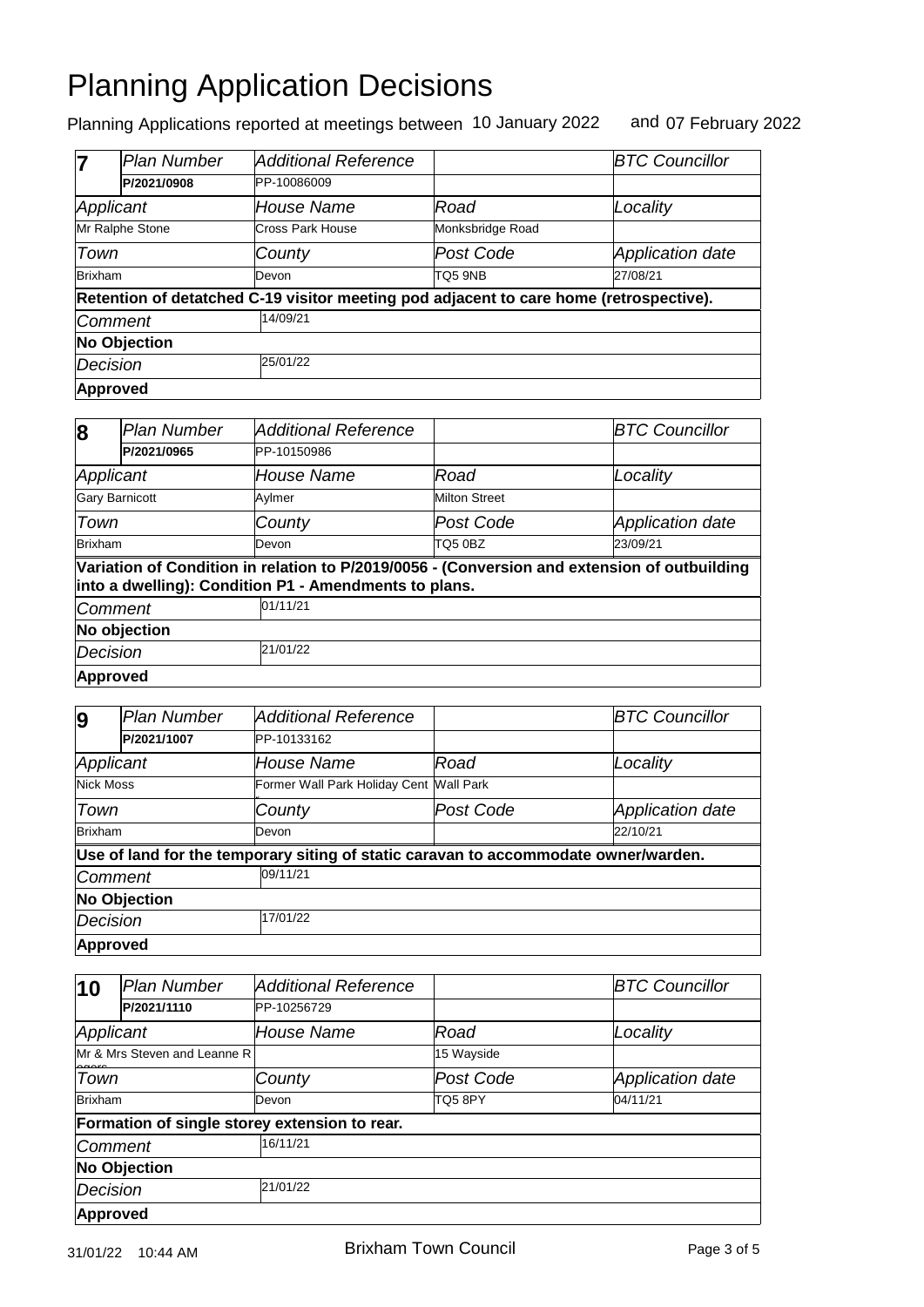|                | <b>Plan Number</b>  | <b>Additional Reference</b>                                                            |                  | <b>BTC Councillor</b>   |  |
|----------------|---------------------|----------------------------------------------------------------------------------------|------------------|-------------------------|--|
|                | P/2021/0908         | PP-10086009                                                                            |                  |                         |  |
| Applicant      |                     | House Name                                                                             | Road             | Locality                |  |
|                | Mr Ralphe Stone     | Cross Park House                                                                       | Monksbridge Road |                         |  |
| Town           |                     | County                                                                                 | Post Code        | <b>Application date</b> |  |
| <b>Brixham</b> |                     | Devon                                                                                  | TO5 9NB          | 27/08/21                |  |
|                |                     | Retention of detatched C-19 visitor meeting pod adjacent to care home (retrospective). |                  |                         |  |
| Comment        |                     | 14/09/21                                                                               |                  |                         |  |
|                | <b>No Objection</b> |                                                                                        |                  |                         |  |
| Decision       |                     | 25/01/22                                                                               |                  |                         |  |
|                | Approved            |                                                                                        |                  |                         |  |

| 8              | <b>Plan Number</b>    | Additional Reference                                  |                      | <b>BTC Councillor</b>                                                                        |  |
|----------------|-----------------------|-------------------------------------------------------|----------------------|----------------------------------------------------------------------------------------------|--|
|                | P/2021/0965           | PP-10150986                                           |                      |                                                                                              |  |
| Applicant      |                       | <b>House Name</b>                                     | Road                 | Locality                                                                                     |  |
|                | <b>Gary Barnicott</b> | Aylmer                                                | <b>Milton Street</b> |                                                                                              |  |
| Town           |                       | County                                                | Post Code            | Application date                                                                             |  |
| <b>Brixham</b> |                       | Devon                                                 | <b>TQ5 0BZ</b>       | 23/09/21                                                                                     |  |
|                |                       | into a dwelling): Condition P1 - Amendments to plans. |                      | Variation of Condition in relation to P/2019/0056 - (Conversion and extension of outbuilding |  |
| <b>Comment</b> |                       | 01/11/21                                              |                      |                                                                                              |  |
| No objection   |                       |                                                       |                      |                                                                                              |  |
| Decision       |                       | 21/01/22                                              |                      |                                                                                              |  |
|                | Approved              |                                                       |                      |                                                                                              |  |

| 9                   | Plan Number | <b>Additional Reference</b>                                                         |           | <b>BTC Councillor</b>   |  |
|---------------------|-------------|-------------------------------------------------------------------------------------|-----------|-------------------------|--|
|                     | P/2021/1007 | PP-10133162                                                                         |           |                         |  |
| Applicant           |             | <b>House Name</b>                                                                   | Road      | Locality                |  |
| <b>Nick Moss</b>    |             | Former Wall Park Holiday Cent Wall Park                                             |           |                         |  |
| Town                |             | County                                                                              | Post Code | <b>Application date</b> |  |
| Brixham             |             | Devon                                                                               |           | 22/10/21                |  |
|                     |             | Use of land for the temporary siting of static caravan to accommodate owner/warden. |           |                         |  |
| <b>Comment</b>      |             | 09/11/21                                                                            |           |                         |  |
| <b>No Objection</b> |             |                                                                                     |           |                         |  |
| Decision            |             | 17/01/22                                                                            |           |                         |  |
| <b>Approved</b>     |             |                                                                                     |           |                         |  |

| $\vert$ 10                  | <b>Plan Number</b>           | <b>Additional Reference</b>                   |            | <b>BTC Councillor</b>   |
|-----------------------------|------------------------------|-----------------------------------------------|------------|-------------------------|
|                             | P/2021/1110                  | PP-10256729                                   |            |                         |
| Applicant                   |                              | <b>House Name</b>                             | Road       | Locality                |
|                             | Mr & Mrs Steven and Leanne R |                                               | 15 Wayside |                         |
| Town                        |                              | County                                        | Post Code  | <b>Application date</b> |
| Brixham                     |                              | Devon                                         | TQ58PY     | 04/11/21                |
|                             |                              | Formation of single storey extension to rear. |            |                         |
|                             | Comment                      | 16/11/21                                      |            |                         |
| <b>No Objection</b>         |                              |                                               |            |                         |
| 21/01/22<br><b>Decision</b> |                              |                                               |            |                         |
| Approved                    |                              |                                               |            |                         |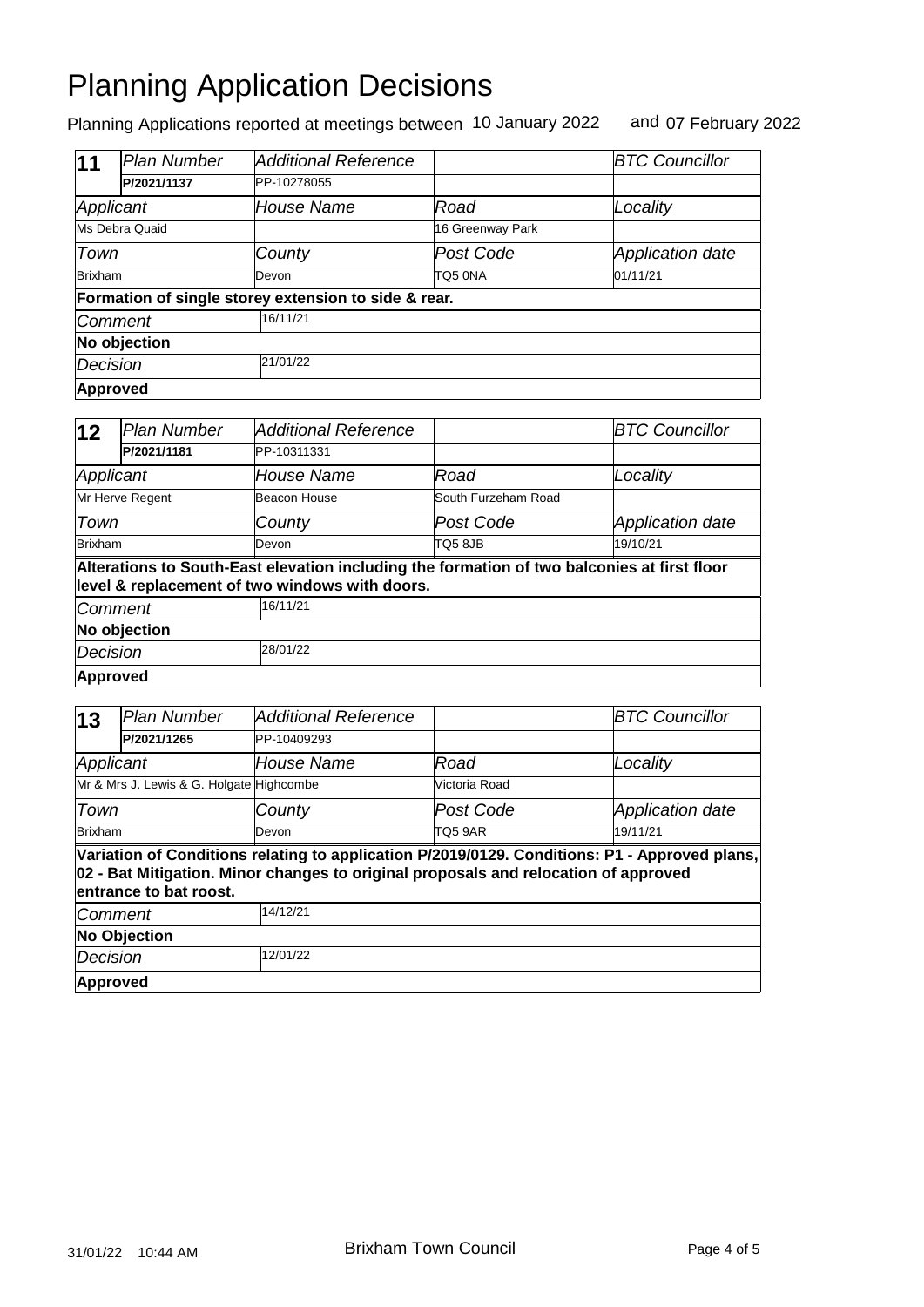| 11                   | Plan Number    | <b>Additional Reference</b>                          |                  | <b>BTC Councillor</b>   |  |
|----------------------|----------------|------------------------------------------------------|------------------|-------------------------|--|
|                      | P/2021/1137    | PP-10278055                                          |                  |                         |  |
| Applicant            |                | <b>House Name</b>                                    | Road             | Locality                |  |
|                      | Ms Debra Quaid |                                                      | 16 Greenway Park |                         |  |
| Town                 |                | County                                               | Post Code        | <b>Application date</b> |  |
| <b>Brixham</b>       |                | Devon                                                | TQ5 0NA          | 01/11/21                |  |
|                      |                | Formation of single storey extension to side & rear. |                  |                         |  |
| Comment              |                | 16/11/21                                             |                  |                         |  |
| No objection         |                |                                                      |                  |                         |  |
| 21/01/22<br>Decision |                |                                                      |                  |                         |  |
|                      | Approved       |                                                      |                  |                         |  |

| $ 12\rangle$ | lPlan Number    | <b>Additional Reference</b>                                                                                                                   |                     | <b>BTC Councillor</b> |
|--------------|-----------------|-----------------------------------------------------------------------------------------------------------------------------------------------|---------------------|-----------------------|
|              | P/2021/1181     | PP-10311331                                                                                                                                   |                     |                       |
| Applicant    |                 | <b>House Name</b>                                                                                                                             | Road                | Locality              |
|              | Mr Herve Regent | Beacon House                                                                                                                                  | South Furzeham Road |                       |
| Town         |                 | County                                                                                                                                        | Post Code           | Application date      |
| Brixham      |                 | Devon                                                                                                                                         | TQ58JB              | 19/10/21              |
|              |                 | Alterations to South-East elevation including the formation of two balconies at first floor<br>level & replacement of two windows with doors. |                     |                       |
| Comment      |                 | 16/11/21                                                                                                                                      |                     |                       |
|              | No objection    |                                                                                                                                               |                     |                       |
| Decision     |                 | 28/01/22                                                                                                                                      |                     |                       |
| Approved     |                 |                                                                                                                                               |                     |                       |

| $\vert$ 13                                                                                                                                                                                                     | <b>Plan Number</b> | Additional Reference |                | <b>BTC Councillor</b>   |  |  |  |  |
|----------------------------------------------------------------------------------------------------------------------------------------------------------------------------------------------------------------|--------------------|----------------------|----------------|-------------------------|--|--|--|--|
|                                                                                                                                                                                                                | P/2021/1265        | PP-10409293          |                |                         |  |  |  |  |
| Applicant                                                                                                                                                                                                      |                    | House Name           | Road           | Locality                |  |  |  |  |
| Mr & Mrs J. Lewis & G. Holgate Highcombe                                                                                                                                                                       |                    |                      | Victoria Road  |                         |  |  |  |  |
| Town                                                                                                                                                                                                           |                    | County               | Post Code      | <b>Application date</b> |  |  |  |  |
| Brixham                                                                                                                                                                                                        |                    | Devon                | <b>TO5 9AR</b> | 19/11/21                |  |  |  |  |
| Variation of Conditions relating to application P/2019/0129. Conditions: P1 - Approved plans,<br>02 - Bat Mitigation. Minor changes to original proposals and relocation of approved<br>entrance to bat roost. |                    |                      |                |                         |  |  |  |  |
| <i><b>Comment</b></i>                                                                                                                                                                                          |                    | 14/12/21             |                |                         |  |  |  |  |
| <b>No Objection</b>                                                                                                                                                                                            |                    |                      |                |                         |  |  |  |  |
| Decision                                                                                                                                                                                                       |                    | 12/01/22             |                |                         |  |  |  |  |
| Approved                                                                                                                                                                                                       |                    |                      |                |                         |  |  |  |  |